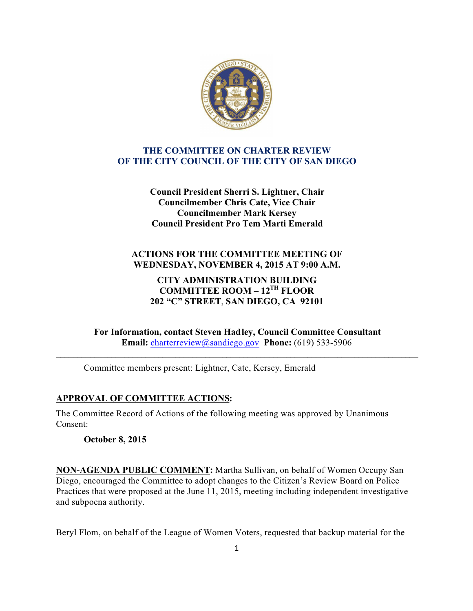

### **THE COMMITTEE ON CHARTER REVIEW OF THE CITY COUNCIL OF THE CITY OF SAN DIEGO**

**Council President Sherri S. Lightner, Chair Councilmember Chris Cate, Vice Chair Councilmember Mark Kersey Council President Pro Tem Marti Emerald**

# **ACTIONS FOR THE COMMITTEE MEETING OF WEDNESDAY, NOVEMBER 4, 2015 AT 9:00 A.M.**

## **CITY ADMINISTRATION BUILDING COMMITTEE ROOM – 12TH FLOOR 202 "C" STREET**, **SAN DIEGO, CA 92101**

**For Information, contact Steven Hadley, Council Committee Consultant Email:** charterreview@sandiego.gov **Phone:** (619) 533-5906

**\_\_\_\_\_\_\_\_\_\_\_\_\_\_\_\_\_\_\_\_\_\_\_\_\_\_\_\_\_\_\_\_\_\_\_\_\_\_\_\_\_\_\_\_\_\_\_\_\_\_\_\_\_\_\_\_\_\_\_\_\_\_\_\_\_\_\_\_\_\_\_\_\_\_\_\_\_\_\_\_\_\_\_\_\_**

Committee members present: Lightner, Cate, Kersey, Emerald

## **APPROVAL OF COMMITTEE ACTIONS:**

The Committee Record of Actions of the following meeting was approved by Unanimous Consent:

**October 8, 2015**

**NON-AGENDA PUBLIC COMMENT:** Martha Sullivan, on behalf of Women Occupy San Diego, encouraged the Committee to adopt changes to the Citizen's Review Board on Police Practices that were proposed at the June 11, 2015, meeting including independent investigative and subpoena authority.

Beryl Flom, on behalf of the League of Women Voters, requested that backup material for the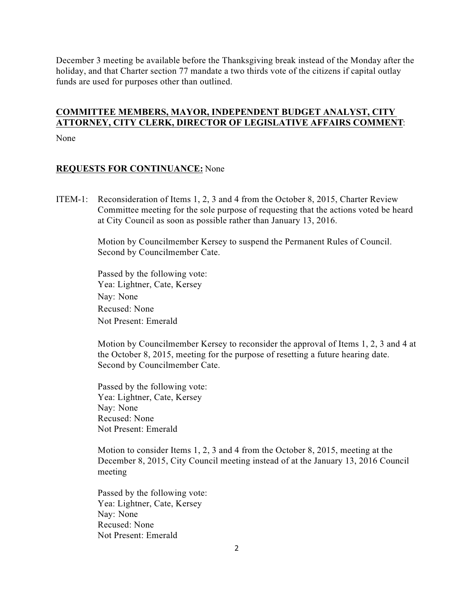December 3 meeting be available before the Thanksgiving break instead of the Monday after the holiday, and that Charter section 77 mandate a two thirds vote of the citizens if capital outlay funds are used for purposes other than outlined.

# **COMMITTEE MEMBERS, MAYOR, INDEPENDENT BUDGET ANALYST, CITY ATTORNEY, CITY CLERK, DIRECTOR OF LEGISLATIVE AFFAIRS COMMENT**:

None

### **REQUESTS FOR CONTINUANCE:** None

ITEM-1: Reconsideration of Items 1, 2, 3 and 4 from the October 8, 2015, Charter Review Committee meeting for the sole purpose of requesting that the actions voted be heard at City Council as soon as possible rather than January 13, 2016.

> Motion by Councilmember Kersey to suspend the Permanent Rules of Council. Second by Councilmember Cate.

 Passed by the following vote: Yea: Lightner, Cate, Kersey Nay: None Recused: None Not Present: Emerald

 Motion by Councilmember Kersey to reconsider the approval of Items 1, 2, 3 and 4 at the October 8, 2015, meeting for the purpose of resetting a future hearing date. Second by Councilmember Cate.

 Passed by the following vote: Yea: Lightner, Cate, Kersey Nay: None Recused: None Not Present: Emerald

 Motion to consider Items 1, 2, 3 and 4 from the October 8, 2015, meeting at the December 8, 2015, City Council meeting instead of at the January 13, 2016 Council meeting

 Passed by the following vote: Yea: Lightner, Cate, Kersey Nay: None Recused: None Not Present: Emerald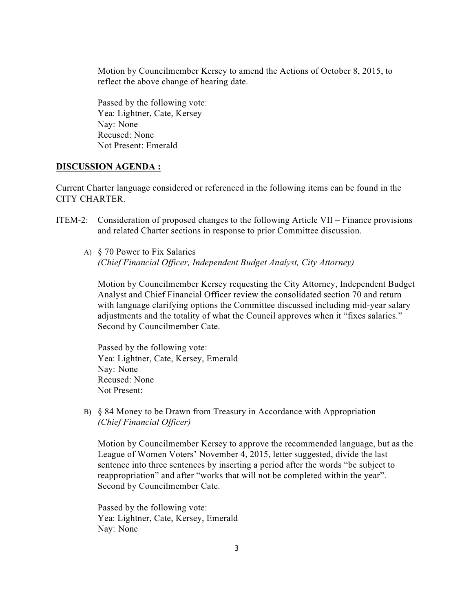Motion by Councilmember Kersey to amend the Actions of October 8, 2015, to reflect the above change of hearing date.

 Passed by the following vote: Yea: Lightner, Cate, Kersey Nay: None Recused: None Not Present: Emerald

#### **DISCUSSION AGENDA :**

Current Charter language considered or referenced in the following items can be found in the CITY CHARTER.

- ITEM-2: Consideration of proposed changes to the following Article VII Finance provisions and related Charter sections in response to prior Committee discussion.
	- A) § 70 Power to Fix Salaries *(Chief Financial Officer, Independent Budget Analyst, City Attorney)*

Motion by Councilmember Kersey requesting the City Attorney, Independent Budget Analyst and Chief Financial Officer review the consolidated section 70 and return with language clarifying options the Committee discussed including mid-year salary adjustments and the totality of what the Council approves when it "fixes salaries." Second by Councilmember Cate.

Passed by the following vote: Yea: Lightner, Cate, Kersey, Emerald Nay: None Recused: None Not Present:

B) § 84 Money to be Drawn from Treasury in Accordance with Appropriation *(Chief Financial Officer)*

Motion by Councilmember Kersey to approve the recommended language, but as the League of Women Voters' November 4, 2015, letter suggested, divide the last sentence into three sentences by inserting a period after the words "be subject to reappropriation" and after "works that will not be completed within the year". Second by Councilmember Cate.

Passed by the following vote: Yea: Lightner, Cate, Kersey, Emerald Nay: None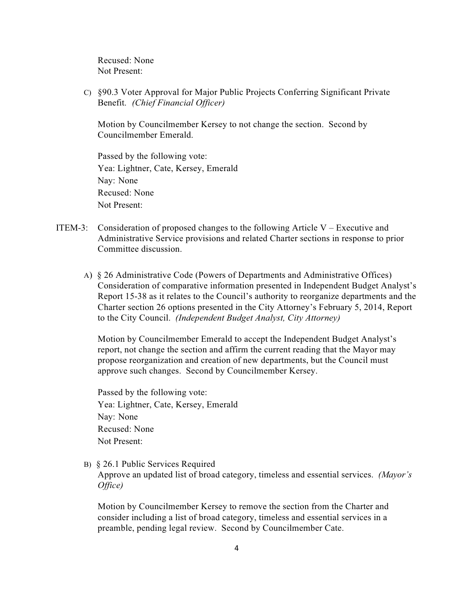Recused: None Not Present:

 C) §90.3 Voter Approval for Major Public Projects Conferring Significant Private Benefit. *(Chief Financial Officer)*

 Motion by Councilmember Kersey to not change the section. Second by Councilmember Emerald.

 Passed by the following vote: Yea: Lightner, Cate, Kersey, Emerald Nay: None Recused: None Not Present:

- ITEM-3: Consideration of proposed changes to the following Article  $V -$  Executive and Administrative Service provisions and related Charter sections in response to prior Committee discussion.
	- A) § 26 Administrative Code (Powers of Departments and Administrative Offices) Consideration of comparative information presented in Independent Budget Analyst's Report 15-38 as it relates to the Council's authority to reorganize departments and the Charter section 26 options presented in the City Attorney's February 5, 2014, Report to the City Council. *(Independent Budget Analyst, City Attorney)*

Motion by Councilmember Emerald to accept the Independent Budget Analyst's report, not change the section and affirm the current reading that the Mayor may propose reorganization and creation of new departments, but the Council must approve such changes. Second by Councilmember Kersey.

 Passed by the following vote: Yea: Lightner, Cate, Kersey, Emerald Nay: None Recused: None Not Present:

B) § 26.1 Public Services Required

Approve an updated list of broad category, timeless and essential services. *(Mayor's Office)*

Motion by Councilmember Kersey to remove the section from the Charter and consider including a list of broad category, timeless and essential services in a preamble, pending legal review. Second by Councilmember Cate.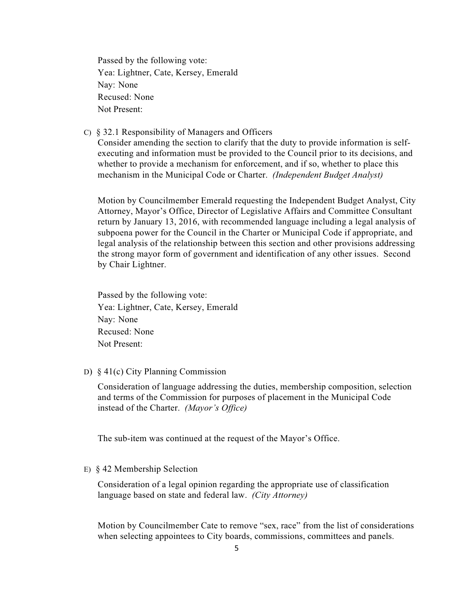Passed by the following vote: Yea: Lightner, Cate, Kersey, Emerald Nay: None Recused: None Not Present:

C) § 32.1 Responsibility of Managers and Officers

Consider amending the section to clarify that the duty to provide information is selfexecuting and information must be provided to the Council prior to its decisions, and whether to provide a mechanism for enforcement, and if so, whether to place this mechanism in the Municipal Code or Charter. *(Independent Budget Analyst)*

 Motion by Councilmember Emerald requesting the Independent Budget Analyst, City Attorney, Mayor's Office, Director of Legislative Affairs and Committee Consultant return by January 13, 2016, with recommended language including a legal analysis of subpoena power for the Council in the Charter or Municipal Code if appropriate, and legal analysis of the relationship between this section and other provisions addressing the strong mayor form of government and identification of any other issues. Second by Chair Lightner.

 Passed by the following vote: Yea: Lightner, Cate, Kersey, Emerald Nay: None Recused: None Not Present:

D) § 41(c) City Planning Commission

 Consideration of language addressing the duties, membership composition, selection and terms of the Commission for purposes of placement in the Municipal Code instead of the Charter. *(Mayor's Office)*

The sub-item was continued at the request of the Mayor's Office.

#### E) § 42 Membership Selection

 Consideration of a legal opinion regarding the appropriate use of classification language based on state and federal law. *(City Attorney)*

 Motion by Councilmember Cate to remove "sex, race" from the list of considerations when selecting appointees to City boards, commissions, committees and panels.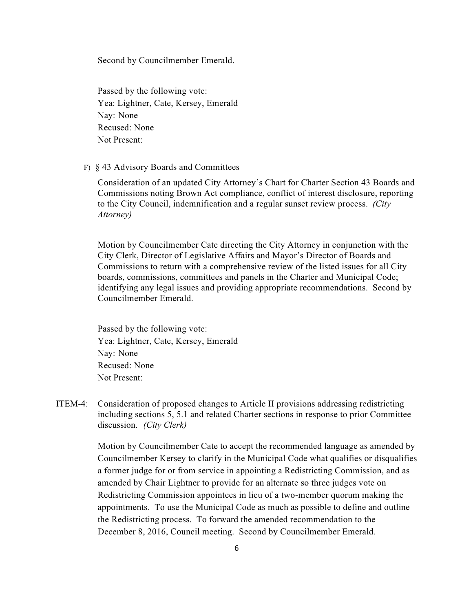Second by Councilmember Emerald.

 Passed by the following vote: Yea: Lightner, Cate, Kersey, Emerald Nay: None Recused: None Not Present:

F) § 43 Advisory Boards and Committees

 Consideration of an updated City Attorney's Chart for Charter Section 43 Boards and Commissions noting Brown Act compliance, conflict of interest disclosure, reporting to the City Council, indemnification and a regular sunset review process. *(City Attorney)*

 Motion by Councilmember Cate directing the City Attorney in conjunction with the City Clerk, Director of Legislative Affairs and Mayor's Director of Boards and Commissions to return with a comprehensive review of the listed issues for all City boards, commissions, committees and panels in the Charter and Municipal Code; identifying any legal issues and providing appropriate recommendations. Second by Councilmember Emerald.

 Passed by the following vote: Yea: Lightner, Cate, Kersey, Emerald Nay: None Recused: None Not Present:

ITEM-4: Consideration of proposed changes to Article II provisions addressing redistricting including sections 5, 5.1 and related Charter sections in response to prior Committee discussion. *(City Clerk)*

> Motion by Councilmember Cate to accept the recommended language as amended by Councilmember Kersey to clarify in the Municipal Code what qualifies or disqualifies a former judge for or from service in appointing a Redistricting Commission, and as amended by Chair Lightner to provide for an alternate so three judges vote on Redistricting Commission appointees in lieu of a two-member quorum making the appointments. To use the Municipal Code as much as possible to define and outline the Redistricting process. To forward the amended recommendation to the December 8, 2016, Council meeting. Second by Councilmember Emerald.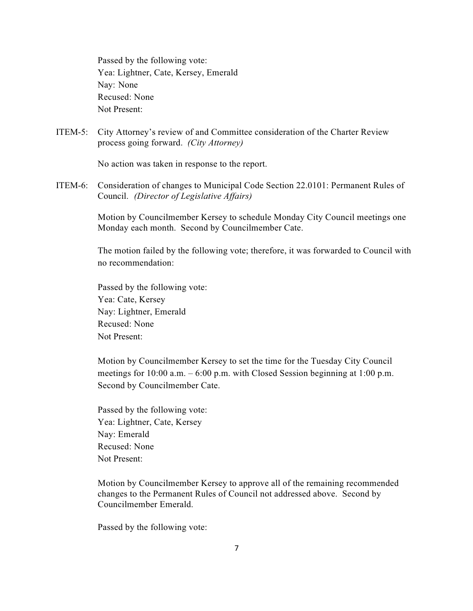Passed by the following vote: Yea: Lightner, Cate, Kersey, Emerald Nay: None Recused: None Not Present:

ITEM-5: City Attorney's review of and Committee consideration of the Charter Review process going forward. *(City Attorney)*

No action was taken in response to the report.

ITEM-6: Consideration of changes to Municipal Code Section 22.0101: Permanent Rules of Council. *(Director of Legislative Affairs)*

> Motion by Councilmember Kersey to schedule Monday City Council meetings one Monday each month. Second by Councilmember Cate.

 The motion failed by the following vote; therefore, it was forwarded to Council with no recommendation:

 Passed by the following vote: Yea: Cate, Kersey Nay: Lightner, Emerald Recused: None Not Present:

 Motion by Councilmember Kersey to set the time for the Tuesday City Council meetings for 10:00 a.m. – 6:00 p.m. with Closed Session beginning at 1:00 p.m. Second by Councilmember Cate.

 Passed by the following vote: Yea: Lightner, Cate, Kersey Nay: Emerald Recused: None Not Present:

 Motion by Councilmember Kersey to approve all of the remaining recommended changes to the Permanent Rules of Council not addressed above. Second by Councilmember Emerald.

Passed by the following vote: